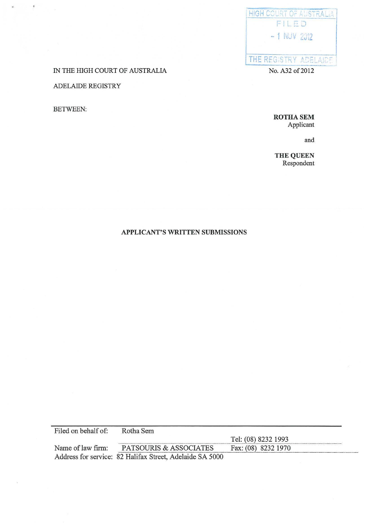

IN THE HIGH COURT OF AUSTRALIA

# ADELAIDE REGISTRY

BETWEEN:

**ROTHASEM**  Applicant

and

**THE QUEEN**  Respondent

# **APPLICANT'S WRITTEN SUBMISSIONS**

Filed on behalf of: Rotha Sem Tel: (08) 8232 1993<br>Fax: (08) 8232 1970 Name of law firm: **PATSOURIS & ASSOCIATES** Address for service: 82 Halifax Street, Adelaide SA 5000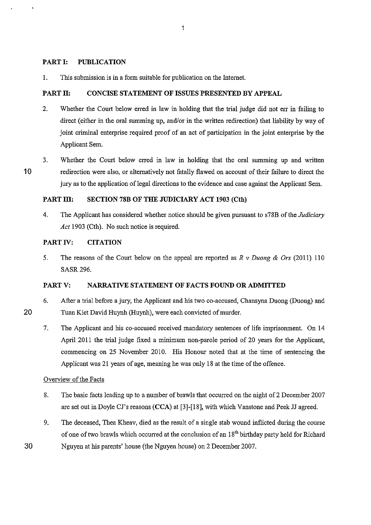### PART I: PUBLICATION

1. This submission is in a form suitable for publication on the Internet.

### PART II: CONCISE STATEMENT OF ISSUES PRESENTED BY APPEAL

- 2. Whether the Court below erred in law in holding that the trial judge did not err in failing to direct (either in the oral summing up, and/or in the written redirection) that liability by way of joint criminal enterprise required proof of an act of participation in the joint enterprise by the Applicant Sem.
- 10 3. Whether the Court below erred in law in holding that the oral summing up and written redirection were also, or alternatively not fatally flawed on account of their failure to direct the jury as to the application of legal directions to the evidence and case against the Applicant Sem.

# PART III: SECTION 78B OF THE JUDICIARY ACT 1903 (Cth)

4. The Applicant has considered whether notice should be given pursuant to s78B of the *Judiciary Act* 1903 (Cth). No such notice is required.

### PART IV: CITATION

5. The reasons of the Court below on the appeal are reported as *R v Duong* & *Ors* (2011) 110 SASR296.

## PARTY: NARRATIVE STATEMENT OF FACTS FOUND OR ADMITTED

- 6. After a trial before a jury, the Applicant and his two co-accused, Chansyna Duong (Duong) and Tuan Kiet David Huynh (Huynh), were each convicted of murder.
- 7. The Applicant and his co-accused received mandatory sentences of life imprisonment. On 14 April 2011 the trial judge fixed a minimum non-parole period of 20 years for the Applicant, commencing on 25 November 2010. His Honour noted that at the time of sentencing the Applicant was 21 years of age, meaning he was only 18 at the time of the offence.

#### Overview of the Facts

- 8. The basic facts leading up to a number of brawls that occurred on the night of2 December 2007 are set out in Doyle CJ's reasons (CCA) at [3]-[18], with which Vanstone and Peek JJ agreed.
- 9. The deceased, Thea Kheav, died as the result of a single stab wound inflicted during the course of one of two brawls which occurred at the conclusion of an 18<sup>th</sup> birthday party held for Richard 30 Nguyen at his parents' house (the Nguyen house) on 2 December 2007.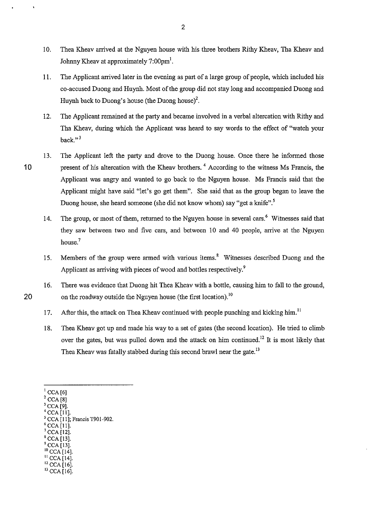- 10. Thea Kheav arrived at the Nguyen house with his three brothers Rithy Kheav, Tha Kheav and Johnny Kheav at approximately  $7:00 \text{pm}^1$ .
- 11. The Applicant arrived later in the evening as part of a large group of people, which included his co-accused Duong and Huynh. Most of the group did not stay long and accompanied Duong and Huynh back to Duong's house (the Duong house)<sup>2</sup>.
- 12. The Applicant remained at the party and became involved in a verbal altercation with Rithy and Tha Kheav, during which the Applicant was heard to say words to the effect of "watch your back." $3$
- 13. The Applicant left the party and drove to the Duong house. Once there he informed those 10 present of his altercation with the Kheav brothers.<sup>4</sup> According to the witness Ms Francis, the Applicant was angry and wanted to go back to the Nguyen house. Ms Francis said that the Applicant might have said "let's go get them". She said that as the group began to leave the Duong house, she heard someone (she did not know whom) say "get a knife".<sup>5</sup>
	- 14. The group, or most of them, returned to the Nguyen house in several cars.<sup>6</sup> Witnesses said that they saw between two and five cars, and between 10 and 40 people, arrive at the Nguyen house.<sup>7</sup>
	- 15. Members of the group were armed with various items.' Witnesses described Duong and the Applicant as arriving with pieces of wood and bottles respectively.<sup>9</sup>
- 16. There was evidence that Duong hit Thea Kheav with a bottle, causing him to fall to the ground, 20 on the roadway outside the Nguyen house (the first location).<sup>10</sup>
	- 17. After this, the attack on Thea Kheav continued with people punching and kicking him.<sup>11</sup>
	- 18. Thea Kheav got up and made his way to a set of gates (the second location). He tried to climb over the gates, but was pulled down and the attack on him continued.<sup>12</sup> It is most likely that Thea Kheav was fatally stabbed during this second brawl near the gate.<sup>13</sup>

- 
- 
- CCA [13].
- <sup>10</sup> CCA [14].<br><sup>11</sup> CCA [14].

 $^{12}$  CCA [16].<br> $^{13}$  CCA [16].

CCA [6]<br>CCA [8]<br>CCA [9].<br>CCA [11].

CCA [11]; Francis T901-902.<br>CCA [11].<br>CCA [12].<br>CCA [13].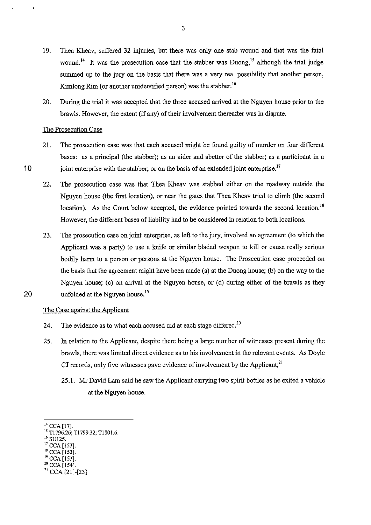- 19. Thea Kheav, suffered 32 injuries, but there was only one stab wound and that was the fatal wound.<sup>14</sup> It was the prosecution case that the stabber was Duong,<sup>15</sup> although the trial judge summed up to the jury on the basis that there was a very real possibility that another person, Kimlong Rim (or another unidentified person) was the stabber.<sup>16</sup>
- 20. During the trial it was accepted that the three accused arrived at the Nguyen house prior to the brawls. However, the extent (if any) of their involvement thereafter was in dispute.

#### The Prosecution Case

- 21. The prosecution case was that each accused might be found guilty of murder on four different bases: as a principal (the stabber); as an aider and abetter of the stabber; as a participant in a 10 joint enterprise with the stabber; or on the basis of an extended joint enterprise.<sup>17</sup>
	- 22. The prosecution case was that Thea Kheav was stabbed either on the roadway outside the Nguyen house (the first location), or near the gates that Thea Kheav tried to climb (the second location). As the Court below accepted, the evidence pointed towards the second location.<sup>18</sup> However, the different bases of liability had to be considered in relation to both locations.
- 23. The prosecution case on joint enterprise, as left to the jury, involved an agreement (to which the Applicant was a party) to use a knife or similar bladed weapon to kill or cause really serious bodily harm to a person or persons at the Nguyen house. The Prosecution case proceeded on the basis that the agreement might have been made (a) at the Duong house; (b) on the way to the Nguyen house; (c) on arrival at the Nguyen house, or (d) during either of the brawls as they 20 unfolded at the Nguyen house.<sup>19</sup>
- 

#### The Case against the Applicant

- 24. The evidence as to what each accused did at each stage differed.<sup>20</sup>
- 25. In relation to the Applicant, despite there being a large number of witnesses present during the brawls, there was limited direct evidence as to his involvement in the relevant events. As Doyle CJ records, only five witnesses gave evidence of involvement by the Applicant; $^{21}$ 
	- 25.1. Mr David Lam said he saw the Applicant carrying two spirit bottles as he exited a vehicle at the Nguyen house.
- 

- 
- <sup>19</sup> CCA [153].<br><sup>20</sup> CCA [154].

<sup>&</sup>lt;sup>14</sup> CCA [17].<br><sup>15</sup> T1796.26; T1799.32; T1801.6.<br><sup>16</sup> SU125.<br><sup>17</sup> CCA [153].<br><sup>18</sup> CCA [153].

 $21$  CCA [21]-[23]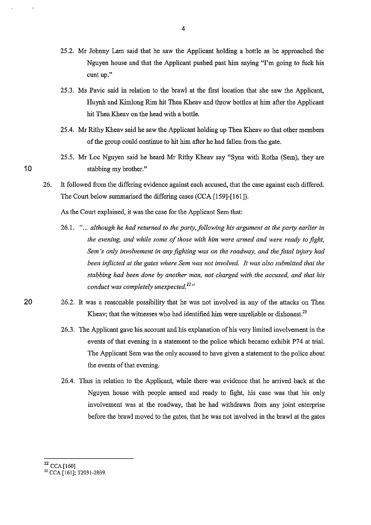- 25 .2. Mr Johnny Lam said that he saw the Applicant holding a bottle as he approached the Nguyen house and that the Applicant pushed past him saying "I'm going to fuck his **cunt up."**
- 25.3. Ms Pavic said in relation to the brawl at the first location that she saw the Applicant, Huynh and Kimlong Rim hit Thea Kheav and throw bottles at him after the Applicant hit Thea Kheav on the head with a bottle.
- 25.4. Mr Rithy Kheav said he saw the Applicant holding up Thea Kheav so that other members of the group could continue to hit him after he had fallen from the gate.
- 25.5. Mr Loc Nguyen said he heard Mr Rithy Kheav say "Syna with Rotha (Sem), they are 10 stabbing my brother."
	- 26. It followed from the differing evidence against each accused, that the case against each differed. The Court below summarised the differing cases (CCA [159]-[161]).

As the Court explained, it was the case for the Applicant Sem that:

- 26.1. " ... *although he had returned to the party, following his argument at the party earlier in the evening, and while some of those with him were armed and were ready to fight, Sem 's only involvement in any fighting was on the roadway, and the fatal injury had been inflicted at the gates where Sem was not involved. It was also submitted that the stabbing had been done by another man, not charged with the accused, and that his conduct was completely unexpected. 22 "*
- 20 26.2. It was a reasonable possibility that he was not involved in any of the attacks on Thea Kheav; that the witnesses who had identified him were unreliable or dishonest.<sup>23</sup>
	- 26.3. The Applicant gave his account and his explanation of his very limited involvement in the events of that evening in a statement to the police which became exhibit P74 at trial. The Applicant Sem was the only accused to have given a statement to the police about the events of that evening.
	- 26.4. Thus in relation to the Applicant, while there was evidence that he arrived back at the Nguyen house with people armed and ready to fight, his case was that his only involvement was at the roadway, that he had withdrawn from any joint enterprise before the brawl moved to the gates, that he was not involved in the brawl at the gates
	- <sup>22</sup> CCA [160]

<sup>&</sup>lt;sup>23</sup> CCA [161]; T2031-2039.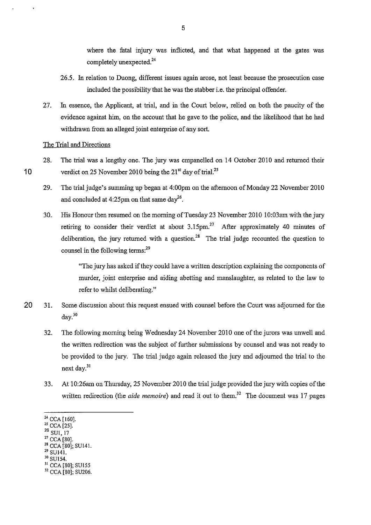where the fatal injury was inflicted, and that what happened at the gates was completely unexpected.<sup>24</sup>

- 26.5. In relation to Duong, different issues again arose, not least because the prosecution case included the possibility that he was the slabber i.e. the principal offender.
- 27. In essence, the Applicant, at trial, and in the Court below, relied on both the paucity of the evidence against him, on the account that he gave to the police, and the likelihood that he had withdrawn from an alleged joint enterprise of any sort.

### The Trial and Directions

- 28. The trial was a lengthy one. The jury was empanelled on 14 October 2010 and returned their 10 verdict on 25 November 2010 being the  $21<sup>st</sup>$  day of trial.<sup>25</sup>
	- 29. The trial judge's summing up began at 4:00pm on the afternoon of Monday 22 November 2010 and concluded at 4:25pm on that same day<sup>26</sup>.
	- 30. His Honour then resumed on the morning of Tuesday 23 November 2010 !0:03am with the jury retiring to consider their verdict at about  $3.15$ pm.<sup>27</sup> After approximately 40 minutes of deliberation, the jury returned with a question.<sup>28</sup> The trial judge recounted the question to counsel in the following terms:<sup>29</sup>

"The jury has asked if they could have a written description explaining the components of murder, joint enterprise and aiding abetting and manslaughter, as related to the law to refer to whilst deliberating."

- 20 31. Some discussion about this request ensued with counsel before the Court was adjourned for the day.Jo
	- 32. The following morning being Wednesday 24 November 2010 one of the jurors was unwell and the written redirection was the subject of further submissions by counsel and was not ready to be provided to the jury. The trial judge again released the jury and adjourned the trial to the next day.<sup>31</sup>
	- 33. At !0:26am on Thursday, 25 November 2010 the trial judge provided the jury with copies of the written redirection (the *aide memoire*) and read it out to them.<sup>32</sup> The document was 17 pages
	- 24 CCA [160].
	- 25 CCA [25].
	- SUI, 17
	- CCA [80].
	- <sup>28</sup> CCA [80]; SU141.<br><sup>29</sup> SU141.
	-
	- <sup>29</sup> SU141.<br><sup>30</sup> SU154.<br><sup>31</sup> CCA [80]; SU155

<sup>&</sup>lt;sup>32</sup> CCA [80]; SU206.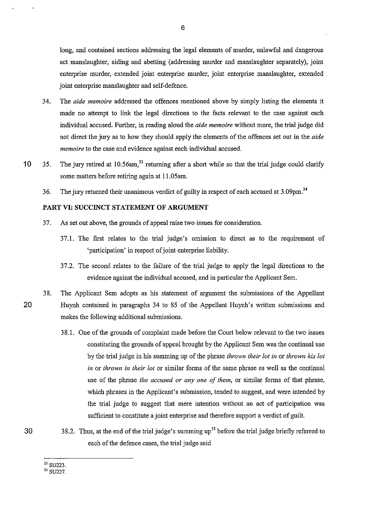long, and contained sections addressing the legal elements of murder, unlawful and dangerous act manslaughter, aiding and abetting (addressing murder and manslaughter separately), joint enterprise murder, extended joint enterprise murder, joint enterprise manslaughter, extended joint enterprise manslaughter and self-defence.

- 34. The *aide memoire* addressed the offences mentioned above by simply listing the elements it made no attempt to link the legal directions to the facts relevant to the case against each individual accused. Further, in reading aloud the *aide memo ire* without more, the trial judge did not direct the jury as to how they should apply the elements of the offences set out in the *aide memoire* to the case and evidence against each individual accused.
- 10 35. The jury retired at 10.56am,<sup>33</sup> returning after a short while so that the trial judge could clarify some matters before retiring again at 11.05am.
	- 36. The jury returned their unanimous verdict of guilty in respect of each accused at 3.09pm.<sup>34</sup>

#### **PART VI: SUCCINCT STATEMENT OF ARGUMENT**

- 37. As set out above, the grounds of appeal raise two issues for consideration.
	- 37 .1. The first relates to the trial judge's omission to direct as to the requirement of 'participation' in respect of joint enterprise liability.
	- 37 .2. The second relates to the failure of the trial judge to apply the legal directions to the evidence against the individual accused, and in particular the Applicant Sem.
- 38. The Applicant Sem adopts as his statement of argument the submissions of the Appellant 20 Huynh contained in paragraphs 34 to 85 of the Appellant Huynh's written submissions and makes the following additional submissions.
	- 38.1. One of the grounds of complaint made before the Court below relevant to the two issues constituting the grounds of appeal brought by the Applicant Sem was the continual use by the trial judge in his summing up of the phrase *thrown their lot* in or *thrown his lot in* or *thrown* in *their lot* or similar forms of the same phrase as well as the continual use of the phrase *the accused or any one of them,* or similar forms of that phrase, which phrases in the Applicant's submission, tended to suggest, and were intended by the trial judge to suggest that mere intention without an act of participation was sufficient to constitute a joint enterprise and therefore support a verdict of guilt.
- 30 38.2. Thus, at the end of the trial judge's summing up<sup>35</sup> before the trial judge briefly referred to each of the defence cases, the trial judge said

<sup>33</sup> SU223.

<sup>&</sup>lt;sup>34</sup> SU227.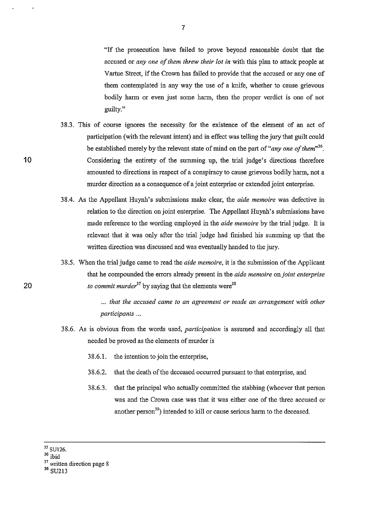"If the prosecution have failed to prove beyond reasonable doubt that the accused or *any one of them threw their lot* in with this plan to attack people at Vartue Street, if the Crown has failed to provide that the accused or any one of them contemplated in any way the use of a knife, whether to cause grievous bodily harm or even just some harm, then the proper verdict is one of not guilty."

- 38.3. This of course ignores the necessity for the existence of the element of an act of participation (with the relevant intent) and in effect was telling the jury that guilt could be established merely by the relevant state of mind on the part of "*any one of them*"<sup>36</sup>. Considering the entirety of the summing up, the trial judge's directions therefore amounted to directions in respect of a conspiracy to cause grievous bodily harm, not a murder direction as a consequence of a joint enterprise or extended joint enterprise.
- 38.4. As the Appellant Huynh's submissions make clear, the *aide memoire* was defective in relation to the direction on joint enterprise. The Appellant Huynh's submissions have made reference to the wording employed in the *aide memo ire* by the trial judge. It is relevant that it was only after the trial judge had finished his summing up that the written direction was discussed and was eventually handed to the jury.
- 38.5. When the trial judge came to read the *aide memoire,* it is the submission of the Applicant that he compounded the errors already present in the *aide memoire* on *joint enterprise to commit murder*<sup>37</sup> by saying that the elements were<sup>38</sup>

... *that the accused came to an agreement or made an arrangement with other participants* ...

- 38.6. As is obvious from the words used, *participation* is assumed and accordingly all that needed be proved as the elements of murder is
	- 38.6.1. the intention to join the enterprise,
	- 38.6.2. that the death of the deceased occurred pursuant to that enterprise, and
	- 38.6.3. that the principal who actually committed the stabbing (whoever that person was and the Crown case was that it was either one of the three accused or another person<sup>39</sup>) intended to kill or cause serious harm to the deceased.
- $^{35}$  SU126.

<sup>&</sup>lt;sup>36</sup> ibid

<sup>&</sup>lt;sup>37</sup> written direction page 8

<sup>38</sup> SU213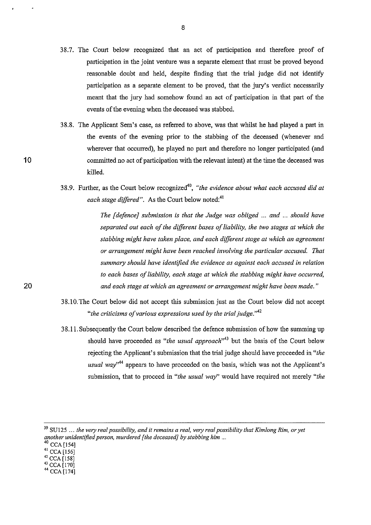- 38.7. The Court below recognized that an act of participation and therefore proof of participation in the joint venture was a separate element that must be proved beyond reasonable doubt and held, despite finding that the trial judge did not identify participation as a separate element to be proved, that the jury's verdict necessarily meant that tbe jury had somehow found an act of participation in that part of the events of the evening when the deceased was stabbed.
- 38.8. The Applicant Sem's case, as referred to above, was tbat whilst he had played a part in the events of the evening prior to the stabbing of the deceased (whenever and wherever that occurred), he played no part and therefore no longer participated (and committed no act of participation with the relevant intent) at the time tbe deceased was killed.
- 38.9. Further, as the Court below recognized40, *"the evidence about what each accused did at each stage differed".* As the Court below noted:<sup>41</sup>

*The [ defonce} submission is that the Judge was obliged* ... *and* ... *should have separated out each of the different bases of liability, the two stages at which the stabbing might have taken place, and each different stage at which an agreement or arrangement might have been reached involving the particular accused. That summary should have identified the evidence as against each accused in relation to each bases of liability, each stage at which the stabbing might have occurred, and each stage at which an agreement or arrangement might have been made.* "

- 38.10.The Court below did not accept this submission just as the Court below did not accept *"the criticisms of various expressions used by the trial judge.'"'*
- 38.11. Subsequently the Court below described tbe defence submission of how the summing up should have proceeded as "*the usual approach*<sup>343</sup> but the basis of the Court below rejecting tbe Applicant's submission that tbe trial judge should have proceeded in *"the usual way'M* appears to have proceeded on the basis, which was not the Applicant's submission, that to proceed in *"the usual way"* would have required not merely *"the*

- 
- 43 CCA [170] 44 CCA [174]

<sup>39</sup> SU125 ... *the very real possibility, and it remains a real, very real possibility that Kimlong Rim, or yet another unidentified person, murdered [the deceased] by stabbing him* ... 4

 $^{41}$  CCA [156]<br>  $^{42}$  CCA [158]<br>  $^{43}$  CCA [170]